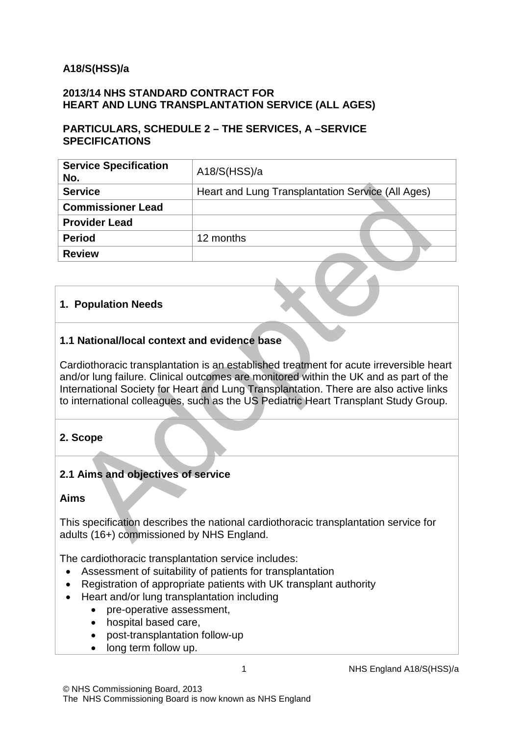### **A18/S(HSS)/a**

#### **2013/14 NHS STANDARD CONTRACT FOR HEART AND LUNG TRANSPLANTATION SERVICE (ALL AGES)**

#### **PARTICULARS, SCHEDULE 2 – THE SERVICES, A –SERVICE SPECIFICATIONS**

| <b>Service Specification</b><br>No. | A18/S(HSS)/a                                      |
|-------------------------------------|---------------------------------------------------|
| <b>Service</b>                      | Heart and Lung Transplantation Service (All Ages) |
| <b>Commissioner Lead</b>            |                                                   |
| <b>Provider Lead</b>                |                                                   |
| <b>Period</b>                       | 12 months                                         |
| <b>Review</b>                       |                                                   |
|                                     |                                                   |

#### **1. Population Needs**

### **1.1 National/local context and evidence base**

Cardiothoracic transplantation is an established treatment for acute irreversible heart and/or lung failure. Clinical outcomes are monitored within the UK and as part of the International Society for Heart and Lung Transplantation. There are also active links to international colleagues, such as the US Pediatric Heart Transplant Study Group.

### **2. Scope**

#### **2.1 Aims and objectives of service**

#### **Aims**

This specification describes the national cardiothoracic transplantation service for adults (16+) commissioned by NHS England.

The cardiothoracic transplantation service includes:

- Assessment of suitability of patients for transplantation
- Registration of appropriate patients with UK transplant authority
- Heart and/or lung transplantation including
	- pre-operative assessment,
	- hospital based care,
	- post-transplantation follow-up
	- long term follow up.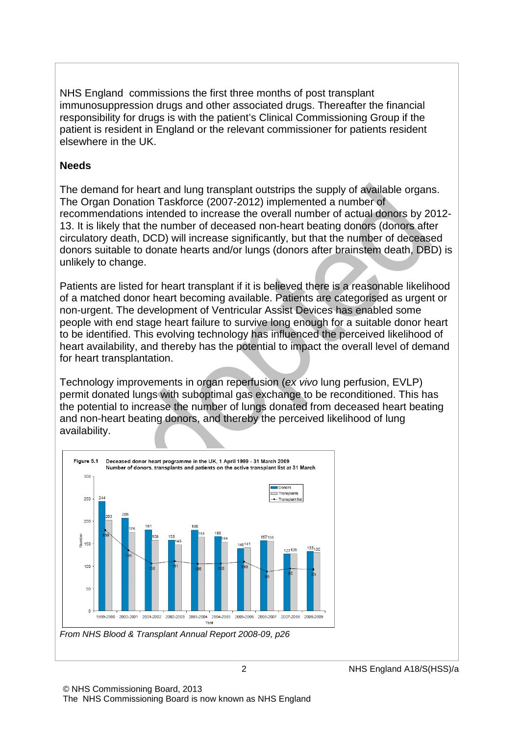NHS England commissions the first three months of post transplant immunosuppression drugs and other associated drugs. Thereafter the financial responsibility for drugs is with the patient's Clinical Commissioning Group if the patient is resident in England or the relevant commissioner for patients resident elsewhere in the UK.

#### **Needs**

The demand for heart and lung transplant outstrips the supply of available organs. The Organ Donation Taskforce (2007-2012) implemented a number of recommendations intended to increase the overall number of actual donors by 2012- 13. It is likely that the number of deceased non-heart beating donors (donors after circulatory death, DCD) will increase significantly, but that the number of deceased donors suitable to donate hearts and/or lungs (donors after brainstem death, DBD) is unlikely to change.

Patients are listed for heart transplant if it is believed there is a reasonable likelihood of a matched donor heart becoming available. Patients are categorised as urgent or non-urgent. The development of Ventricular Assist Devices has enabled some people with end stage heart failure to survive long enough for a suitable donor heart to be identified. This evolving technology has influenced the perceived likelihood of heart availability, and thereby has the potential to impact the overall level of demand for heart transplantation.

Technology improvements in organ reperfusion (*ex vivo* lung perfusion, EVLP) permit donated lungs with suboptimal gas exchange to be reconditioned. This has the potential to increase the number of lungs donated from deceased heart beating and non-heart beating donors, and thereby the perceived likelihood of lung availability.



*From NHS Blood & Transplant Annual Report 2008-09, p26*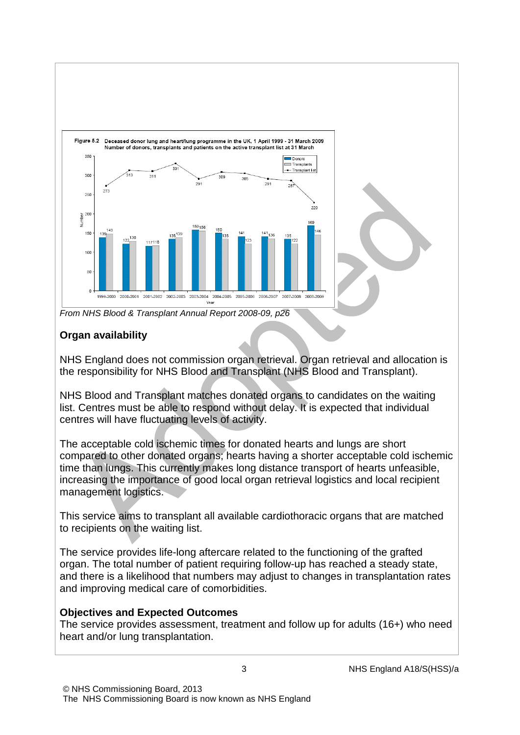

*From NHS Blood & Transplant Annual Report 2008-09, p26*

# **Organ availability**

NHS England does not commission organ retrieval. Organ retrieval and allocation is the responsibility for NHS Blood and Transplant (NHS Blood and Transplant).

NHS Blood and Transplant matches donated organs to candidates on the waiting list. Centres must be able to respond without delay. It is expected that individual centres will have fluctuating levels of activity.

The acceptable cold ischemic times for donated hearts and lungs are short compared to other donated organs; hearts having a shorter acceptable cold ischemic time than lungs. This currently makes long distance transport of hearts unfeasible, increasing the importance of good local organ retrieval logistics and local recipient management logistics.

This service aims to transplant all available cardiothoracic organs that are matched to recipients on the waiting list.

The service provides life-long aftercare related to the functioning of the grafted organ. The total number of patient requiring follow-up has reached a steady state, and there is a likelihood that numbers may adjust to changes in transplantation rates and improving medical care of comorbidities.

# **Objectives and Expected Outcomes**

The service provides assessment, treatment and follow up for adults (16+) who need heart and/or lung transplantation.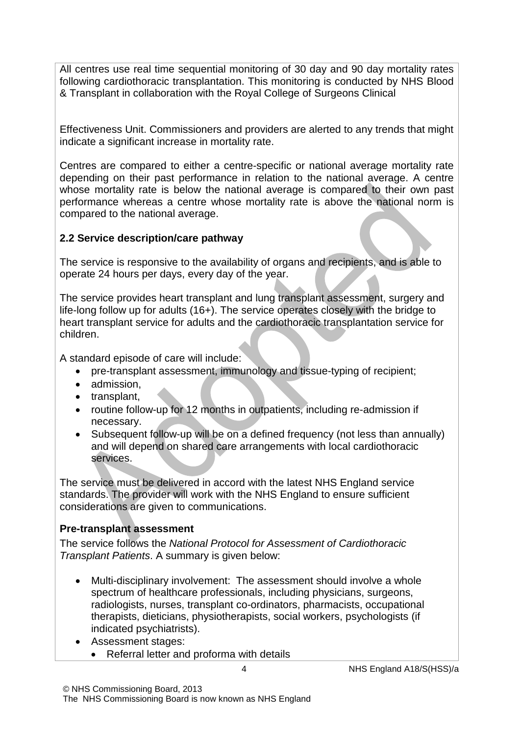All centres use real time sequential monitoring of 30 day and 90 day mortality rates following cardiothoracic transplantation. This monitoring is conducted by NHS Blood & Transplant in collaboration with the Royal College of Surgeons Clinical

Effectiveness Unit. Commissioners and providers are alerted to any trends that might indicate a significant increase in mortality rate.

Centres are compared to either a centre-specific or national average mortality rate depending on their past performance in relation to the national average. A centre whose mortality rate is below the national average is compared to their own past performance whereas a centre whose mortality rate is above the national norm is compared to the national average.

### **2.2 Service description/care pathway**

The service is responsive to the availability of organs and recipients, and is able to operate 24 hours per days, every day of the year.

The service provides heart transplant and lung transplant assessment, surgery and life-long follow up for adults (16+). The service operates closely with the bridge to heart transplant service for adults and the cardiothoracic transplantation service for children.

A standard episode of care will include:

- pre-transplant assessment, immunology and tissue-typing of recipient;
- admission,
- transplant,
- routine follow-up for 12 months in outpatients, including re-admission if necessary.
- Subsequent follow-up will be on a defined frequency (not less than annually) and will depend on shared care arrangements with local cardiothoracic services.

The service must be delivered in accord with the latest NHS England service standards. The provider will work with the NHS England to ensure sufficient considerations are given to communications.

# **Pre-transplant assessment**

The service follows the *National Protocol for Assessment of Cardiothoracic Transplant Patients*. A summary is given below:

- Multi-disciplinary involvement: The assessment should involve a whole spectrum of healthcare professionals, including physicians, surgeons, radiologists, nurses, transplant co-ordinators, pharmacists, occupational therapists, dieticians, physiotherapists, social workers, psychologists (if indicated psychiatrists).
- Assessment stages:
	- Referral letter and proforma with details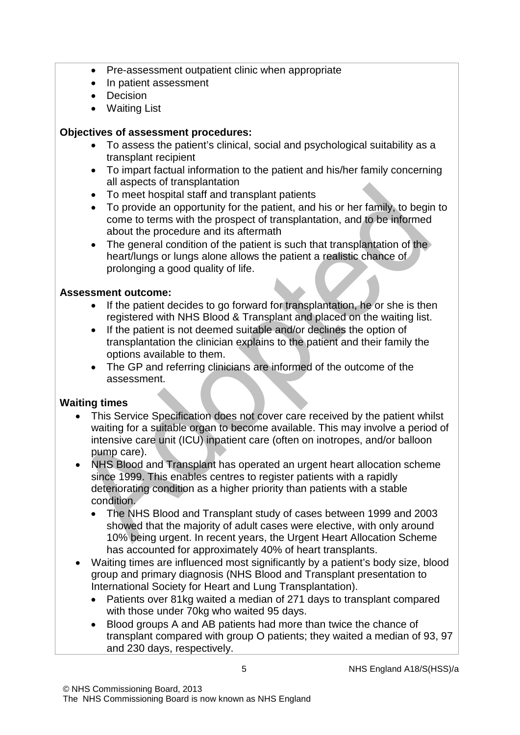- Pre-assessment outpatient clinic when appropriate
- In patient assessment
- Decision
- Waiting List

### **Objectives of assessment procedures:**

- To assess the patient's clinical, social and psychological suitability as a transplant recipient
- To impart factual information to the patient and his/her family concerning all aspects of transplantation
- To meet hospital staff and transplant patients
- To provide an opportunity for the patient, and his or her family, to begin to come to terms with the prospect of transplantation, and to be informed about the procedure and its aftermath
- The general condition of the patient is such that transplantation of the heart/lungs or lungs alone allows the patient a realistic chance of prolonging a good quality of life.

#### **Assessment outcome:**

- If the patient decides to go forward for transplantation, he or she is then registered with NHS Blood & Transplant and placed on the waiting list.
- If the patient is not deemed suitable and/or declines the option of transplantation the clinician explains to the patient and their family the options available to them.
- The GP and referring clinicians are informed of the outcome of the assessment.

### **Waiting times**

- This Service Specification does not cover care received by the patient whilst waiting for a suitable organ to become available. This may involve a period of intensive care unit (ICU) inpatient care (often on inotropes, and/or balloon pump care).
- NHS Blood and Transplant has operated an urgent heart allocation scheme since 1999. This enables centres to register patients with a rapidly deteriorating condition as a higher priority than patients with a stable condition.
	- The NHS Blood and Transplant study of cases between 1999 and 2003 showed that the majority of adult cases were elective, with only around 10% being urgent. In recent years, the Urgent Heart Allocation Scheme has accounted for approximately 40% of heart transplants.
- Waiting times are influenced most significantly by a patient's body size, blood group and primary diagnosis (NHS Blood and Transplant presentation to International Society for Heart and Lung Transplantation).
	- Patients over 81kg waited a median of 271 days to transplant compared with those under 70kg who waited 95 days.
	- Blood groups A and AB patients had more than twice the chance of transplant compared with group O patients; they waited a median of 93, 97 and 230 days, respectively.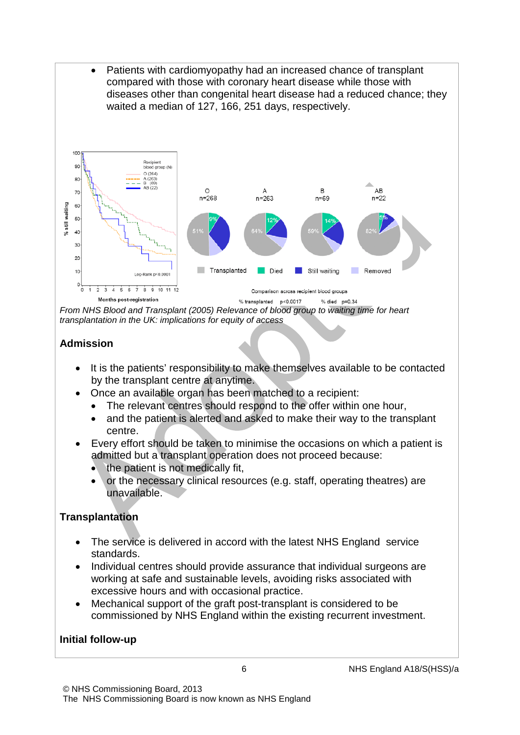

*From NHS Blood and Transplant (2005) Relevance of blood group to waiting time for heart transplantation in the UK: implications for equity of access*

### **Admission**

- It is the patients' responsibility to make themselves available to be contacted by the transplant centre at anytime.
- Once an available organ has been matched to a recipient:
	- The relevant centres should respond to the offer within one hour,
	- and the patient is alerted and asked to make their way to the transplant centre.
- Every effort should be taken to minimise the occasions on which a patient is admitted but a transplant operation does not proceed because:
	- the patient is not medically fit,
	- or the necessary clinical resources (e.g. staff, operating theatres) are unavailable.

# **Transplantation**

- The service is delivered in accord with the latest NHS England service standards.
- Individual centres should provide assurance that individual surgeons are working at safe and sustainable levels, avoiding risks associated with excessive hours and with occasional practice.
- Mechanical support of the graft post-transplant is considered to be commissioned by NHS England within the existing recurrent investment.

### **Initial follow-up**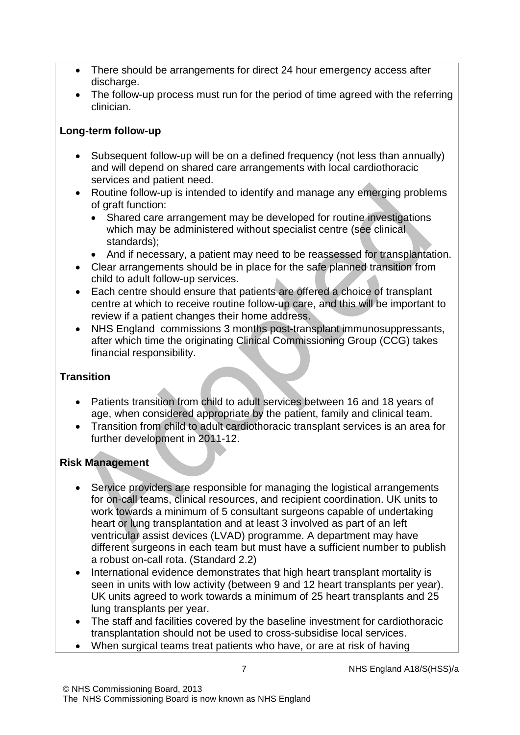- There should be arrangements for direct 24 hour emergency access after discharge.
- The follow-up process must run for the period of time agreed with the referring clinician.

### **Long-term follow-up**

- Subsequent follow-up will be on a defined frequency (not less than annually) and will depend on shared care arrangements with local cardiothoracic services and patient need.
- Routine follow-up is intended to identify and manage any emerging problems of graft function:
	- Shared care arrangement may be developed for routine investigations which may be administered without specialist centre (see clinical standards);
	- And if necessary, a patient may need to be reassessed for transplantation.
- Clear arrangements should be in place for the safe planned transition from child to adult follow-up services.
- Each centre should ensure that patients are offered a choice of transplant centre at which to receive routine follow-up care, and this will be important to review if a patient changes their home address.
- NHS England commissions 3 months post-transplant immunosuppressants, after which time the originating Clinical Commissioning Group (CCG) takes financial responsibility.

# **Transition**

- Patients transition from child to adult services between 16 and 18 years of age, when considered appropriate by the patient, family and clinical team.
- Transition from child to adult cardiothoracic transplant services is an area for further development in 2011-12.

# **Risk Management**

- Service providers are responsible for managing the logistical arrangements for on-call teams, clinical resources, and recipient coordination. UK units to work towards a minimum of 5 consultant surgeons capable of undertaking heart or lung transplantation and at least 3 involved as part of an left ventricular assist devices (LVAD) programme. A department may have different surgeons in each team but must have a sufficient number to publish a robust on-call rota. (Standard 2.2)
- International evidence demonstrates that high heart transplant mortality is seen in units with low activity (between 9 and 12 heart transplants per year). UK units agreed to work towards a minimum of 25 heart transplants and 25 lung transplants per year.
- The staff and facilities covered by the baseline investment for cardiothoracic transplantation should not be used to cross-subsidise local services.
- When surgical teams treat patients who have, or are at risk of having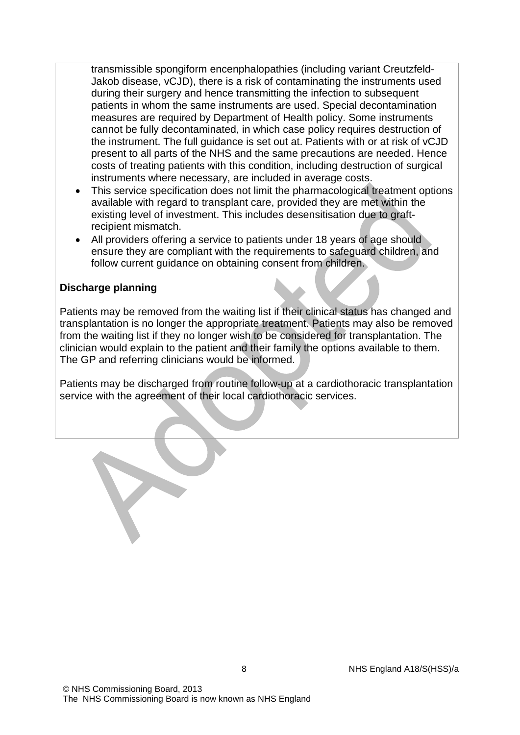transmissible spongiform encenphalopathies (including variant Creutzfeld-Jakob disease, vCJD), there is a risk of contaminating the instruments used during their surgery and hence transmitting the infection to subsequent patients in whom the same instruments are used. Special decontamination measures are required by Department of Health policy. Some instruments cannot be fully decontaminated, in which case policy requires destruction of the instrument. The full guidance is set out at. Patients with or at risk of vCJD present to all parts of the NHS and the same precautions are needed. Hence costs of treating patients with this condition, including destruction of surgical instruments where necessary, are included in average costs.

- This service specification does not limit the pharmacological treatment options available with regard to transplant care, provided they are met within the existing level of investment. This includes desensitisation due to graftrecipient mismatch.
- All providers offering a service to patients under 18 years of age should ensure they are compliant with the requirements to safeguard children, and follow current guidance on obtaining consent from children.

#### **Discharge planning**

Patients may be removed from the waiting list if their clinical status has changed and transplantation is no longer the appropriate treatment. Patients may also be removed from the waiting list if they no longer wish to be considered for transplantation. The clinician would explain to the patient and their family the options available to them. The GP and referring clinicians would be informed.

Patients may be discharged from routine follow-up at a cardiothoracic transplantation service with the agreement of their local cardiothoracic services.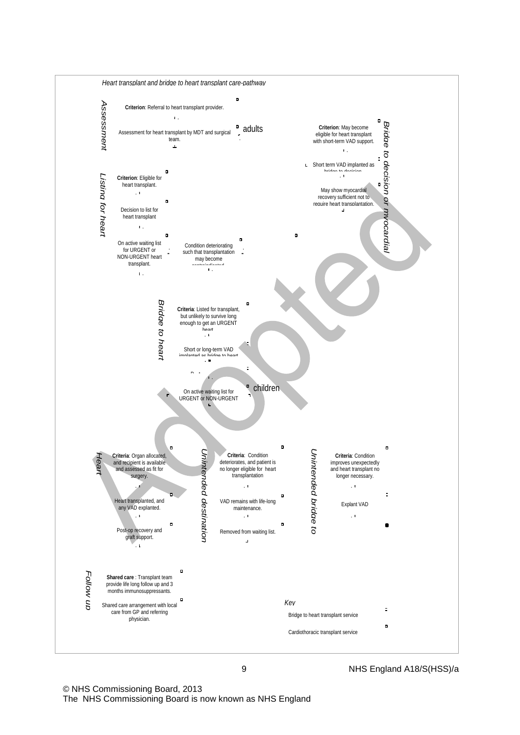

© NHS Commissioning Board, 2013 The NHS Commissioning Board is now known as NHS England

9 NHS England A18/S(HSS)/a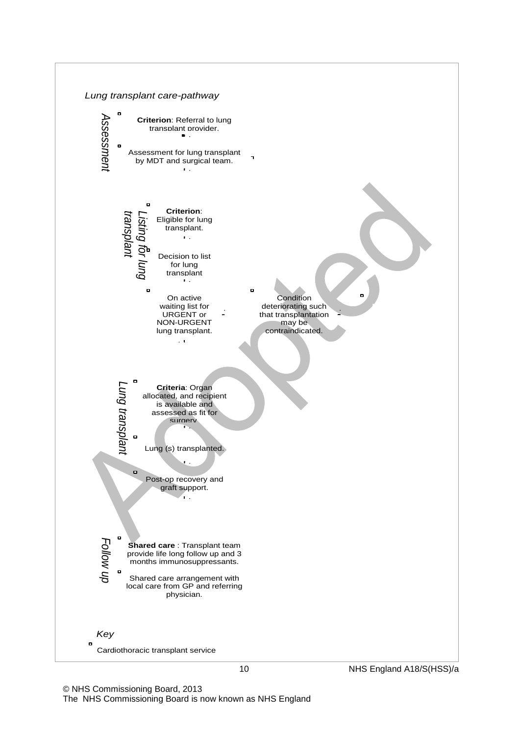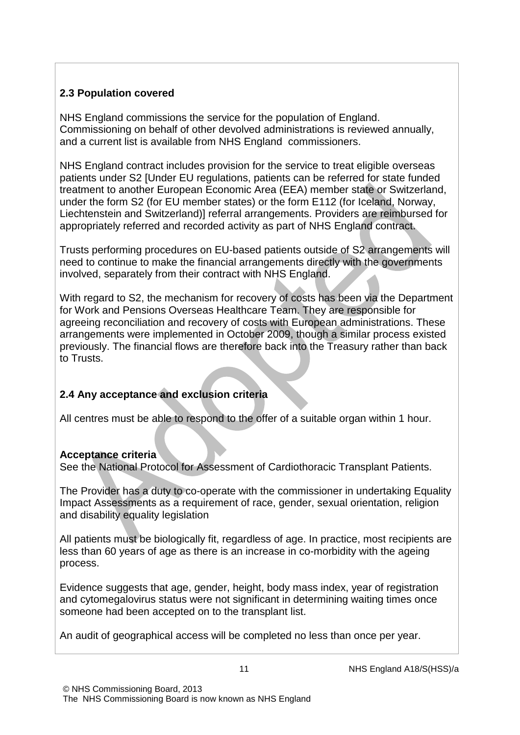# **2.3 Population covered**

NHS England commissions the service for the population of England. Commissioning on behalf of other devolved administrations is reviewed annually, and a current list is available from NHS England commissioners.

NHS England contract includes provision for the service to treat eligible overseas patients under S2 [Under EU regulations, patients can be referred for state funded treatment to another European Economic Area (EEA) member state or Switzerland, under the form S2 (for EU member states) or the form E112 (for Iceland, Norway, Liechtenstein and Switzerland)] referral arrangements. Providers are reimbursed for appropriately referred and recorded activity as part of NHS England contract.

Trusts performing procedures on EU-based patients outside of S2 arrangements will need to continue to make the financial arrangements directly with the governments involved, separately from their contract with NHS England.

With regard to S2, the mechanism for recovery of costs has been via the Department for Work and Pensions Overseas Healthcare Team. They are responsible for agreeing reconciliation and recovery of costs with European administrations. These arrangements were implemented in October 2009, though a similar process existed previously. The financial flows are therefore back into the Treasury rather than back to Trusts.

# **2.4 Any acceptance and exclusion criteria**

All centres must be able to respond to the offer of a suitable organ within 1 hour.

### **Acceptance criteria**

See the National Protocol for Assessment of Cardiothoracic Transplant Patients.

The Provider has a duty to co-operate with the commissioner in undertaking Equality Impact Assessments as a requirement of race, gender, sexual orientation, religion and disability equality legislation

All patients must be biologically fit, regardless of age. In practice, most recipients are less than 60 years of age as there is an increase in co-morbidity with the ageing process.

Evidence suggests that age, gender, height, body mass index, year of registration and cytomegalovirus status were not significant in determining waiting times once someone had been accepted on to the transplant list.

An audit of geographical access will be completed no less than once per year.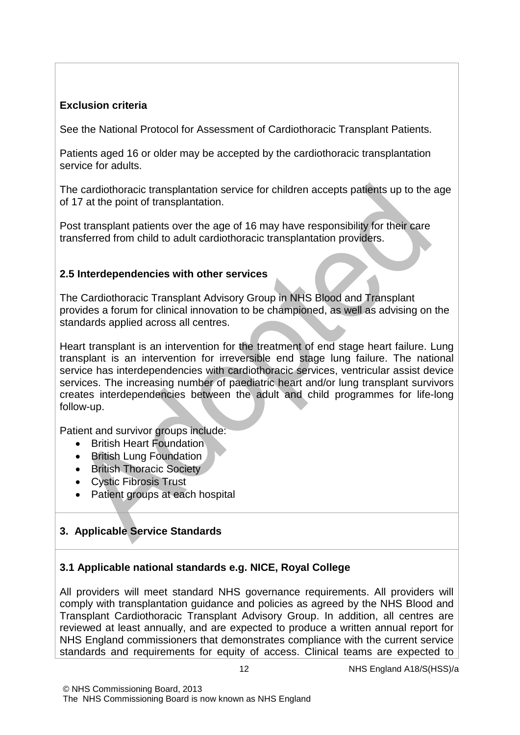# **Exclusion criteria**

See the National Protocol for Assessment of Cardiothoracic Transplant Patients.

Patients aged 16 or older may be accepted by the cardiothoracic transplantation service for adults.

The cardiothoracic transplantation service for children accepts patients up to the age of 17 at the point of transplantation.

Post transplant patients over the age of 16 may have responsibility for their care transferred from child to adult cardiothoracic transplantation providers.

# **2.5 Interdependencies with other services**

The Cardiothoracic Transplant Advisory Group in NHS Blood and Transplant provides a forum for clinical innovation to be championed, as well as advising on the standards applied across all centres.

Heart transplant is an intervention for the treatment of end stage heart failure. Lung transplant is an intervention for irreversible end stage lung failure. The national service has interdependencies with cardiothoracic services, ventricular assist device services. The increasing number of paediatric heart and/or lung transplant survivors creates interdependencies between the adult and child programmes for life-long follow-up.

Patient and survivor groups include:

- British Heart Foundation
- British Lung Foundation
- British Thoracic Society
- Cystic Fibrosis Trust
- Patient groups at each hospital

# **3. Applicable Service Standards**

# **3.1 Applicable national standards e.g. NICE, Royal College**

All providers will meet standard NHS governance requirements. All providers will comply with transplantation guidance and policies as agreed by the NHS Blood and Transplant Cardiothoracic Transplant Advisory Group. In addition, all centres are reviewed at least annually, and are expected to produce a written annual report for NHS England commissioners that demonstrates compliance with the current service standards and requirements for equity of access. Clinical teams are expected to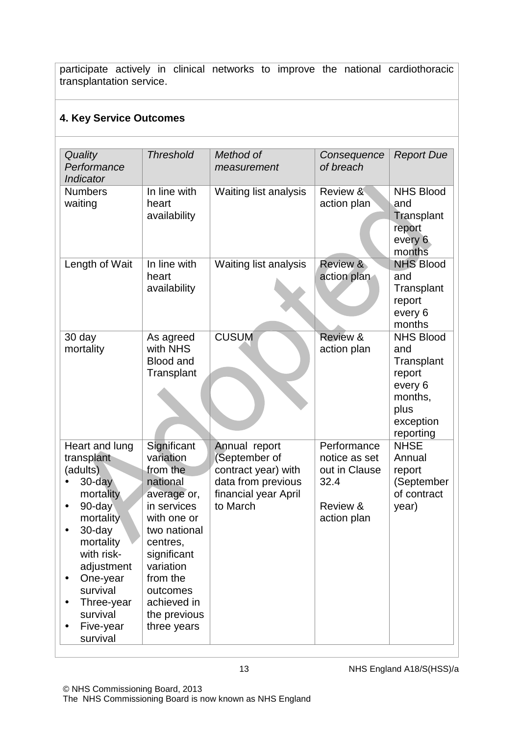participate actively in clinical networks to improve the national cardiothoracic transplantation service.

# **4. Key Service Outcomes**

| Quality<br>Performance<br>Indicator                                                                                                                                                                                                       | <b>Threshold</b>                                                                                                                                                                                                            | Method of<br>measurement                                                                                       | Consequence<br>of breach                                                         | <b>Report Due</b>                                                                                       |
|-------------------------------------------------------------------------------------------------------------------------------------------------------------------------------------------------------------------------------------------|-----------------------------------------------------------------------------------------------------------------------------------------------------------------------------------------------------------------------------|----------------------------------------------------------------------------------------------------------------|----------------------------------------------------------------------------------|---------------------------------------------------------------------------------------------------------|
| <b>Numbers</b><br>waiting                                                                                                                                                                                                                 | In line with<br>heart<br>availability                                                                                                                                                                                       | Waiting list analysis                                                                                          | Review &<br>action plan                                                          | <b>NHS Blood</b><br>and<br>Transplant<br>report<br>every 6<br>months                                    |
| Length of Wait                                                                                                                                                                                                                            | In line with<br>heart<br>availability                                                                                                                                                                                       | Waiting list analysis                                                                                          | Review &<br>action plan                                                          | <b>NHS Blood</b><br>and<br>Transplant<br>report<br>every 6<br>months                                    |
| 30 day<br>mortality                                                                                                                                                                                                                       | As agreed<br>with NHS<br><b>Blood and</b><br>Transplant                                                                                                                                                                     | <b>CUSUM</b>                                                                                                   | Review &<br>action plan                                                          | <b>NHS Blood</b><br>and<br>Transplant<br>report<br>every 6<br>months,<br>plus<br>exception<br>reporting |
| Heart and lung<br>transplant<br>(adults)<br>$30$ -day<br>mortality<br>90-day<br>$\bullet$<br>mortality<br>30-day<br>mortality<br>with risk-<br>adjustment<br>One-year<br>٠<br>survival<br>Three-year<br>survival<br>Five-year<br>survival | Significant<br>variation<br>from the<br>national<br>average or,<br>in services<br>with one or<br>two national<br>centres,<br>significant<br>variation<br>from the<br>outcomes<br>achieved in<br>the previous<br>three years | Annual report<br>September of<br>contract year) with<br>data from previous<br>financial year April<br>to March | Performance<br>notice as set<br>out in Clause<br>32.4<br>Review &<br>action plan | <b>NHSE</b><br>Annual<br>report<br>(September<br>of contract<br>year)                                   |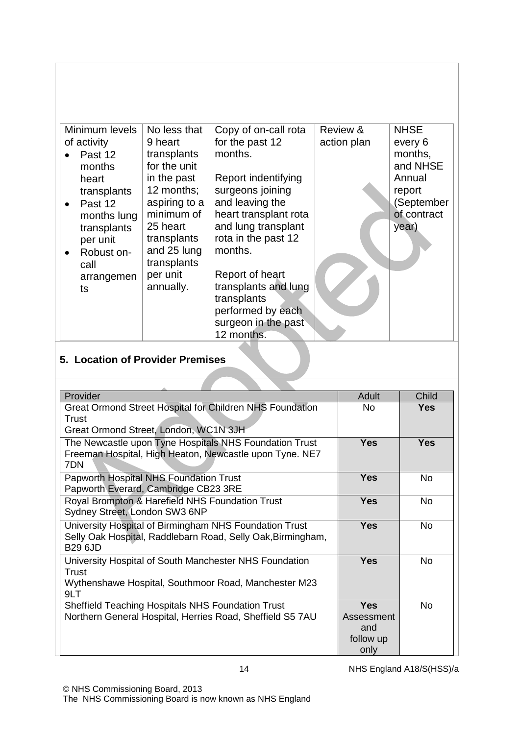| Minimum levels<br>of activity<br>Past 12<br>months<br>heart<br>transplants<br>Past 12<br>$\bullet$<br>months lung<br>transplants<br>per unit<br>Robust on-<br>call<br>arrangemen<br>ts | No less that<br>9 heart<br>transplants<br>for the unit<br>in the past<br>12 months;<br>aspiring to a<br>minimum of<br>25 heart<br>transplants<br>and 25 lung<br>transplants<br>per unit<br>annually. | Copy of on-call rota<br>for the past 12<br>months.<br>Report indentifying<br>surgeons joining<br>and leaving the<br>heart transplant rota<br>and lung transplant<br>rota in the past 12<br>months.<br>Report of heart<br>transplants and lung<br>transplants<br>performed by each<br>surgeon in the past | Review &<br>action plan | <b>NHSE</b><br>every 6<br>months,<br>and NHSE<br>Annual<br>report<br>(September<br>of contract<br>year) |
|----------------------------------------------------------------------------------------------------------------------------------------------------------------------------------------|------------------------------------------------------------------------------------------------------------------------------------------------------------------------------------------------------|----------------------------------------------------------------------------------------------------------------------------------------------------------------------------------------------------------------------------------------------------------------------------------------------------------|-------------------------|---------------------------------------------------------------------------------------------------------|
|                                                                                                                                                                                        |                                                                                                                                                                                                      | 12 months.                                                                                                                                                                                                                                                                                               |                         |                                                                                                         |

# **5. Location of Provider Premises**

| Provider                                                    | <b>Adult</b> | Child      |
|-------------------------------------------------------------|--------------|------------|
| Great Ormond Street Hospital for Children NHS Foundation    | No.          | Yes        |
| Trust                                                       |              |            |
| Great Ormond Street, London, WC1N 3JH                       |              |            |
| The Newcastle upon Tyne Hospitals NHS Foundation Trust      | <b>Yes</b>   | <b>Yes</b> |
| Freeman Hospital, High Heaton, Newcastle upon Tyne. NE7     |              |            |
| 7DN                                                         |              |            |
| <b>Papworth Hospital NHS Foundation Trust</b>               | <b>Yes</b>   | No.        |
| Papworth Everard, Cambridge CB23 3RE                        |              |            |
| Royal Brompton & Harefield NHS Foundation Trust             | <b>Yes</b>   | <b>No</b>  |
| Sydney Street, London SW3 6NP                               |              |            |
| University Hospital of Birmingham NHS Foundation Trust      | <b>Yes</b>   | <b>No</b>  |
| Selly Oak Hospital, Raddlebarn Road, Selly Oak, Birmingham, |              |            |
| <b>B29 6JD</b>                                              |              |            |
| University Hospital of South Manchester NHS Foundation      | <b>Yes</b>   | <b>No</b>  |
| Trust                                                       |              |            |
| Wythenshawe Hospital, Southmoor Road, Manchester M23        |              |            |
| 9LT                                                         |              |            |
| Sheffield Teaching Hospitals NHS Foundation Trust           | <b>Yes</b>   | <b>No</b>  |
| Northern General Hospital, Herries Road, Sheffield S5 7AU   | Assessment   |            |
|                                                             | and          |            |
|                                                             | follow up    |            |
|                                                             | only         |            |